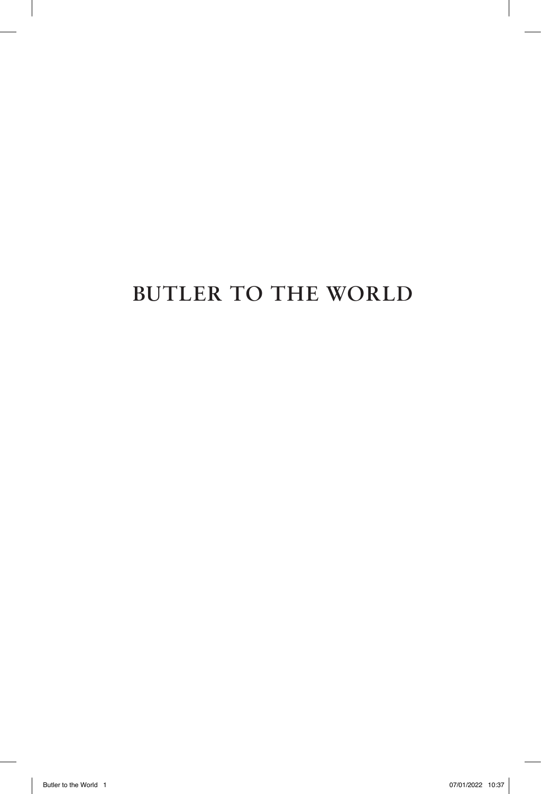# **BUTLER TO THE WORLD**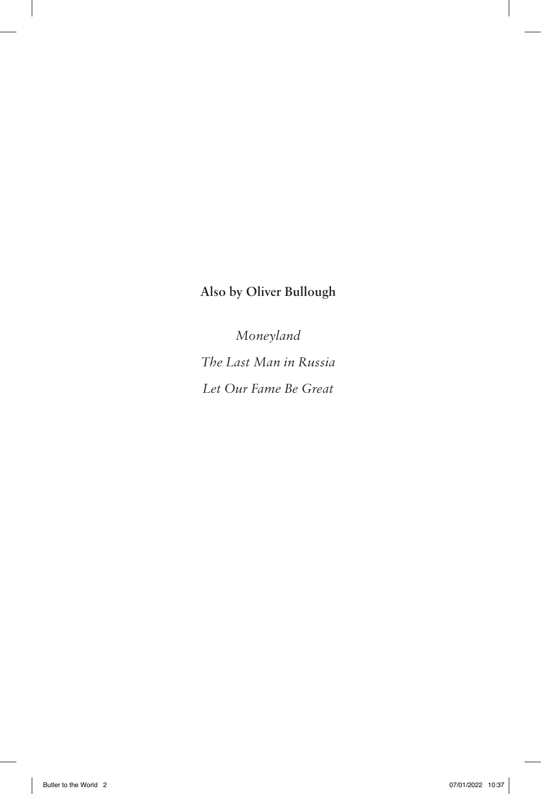## **Also by Oliver Bullough**

*Moneyland*

*The Last Man in Russia Let Our Fame Be Great*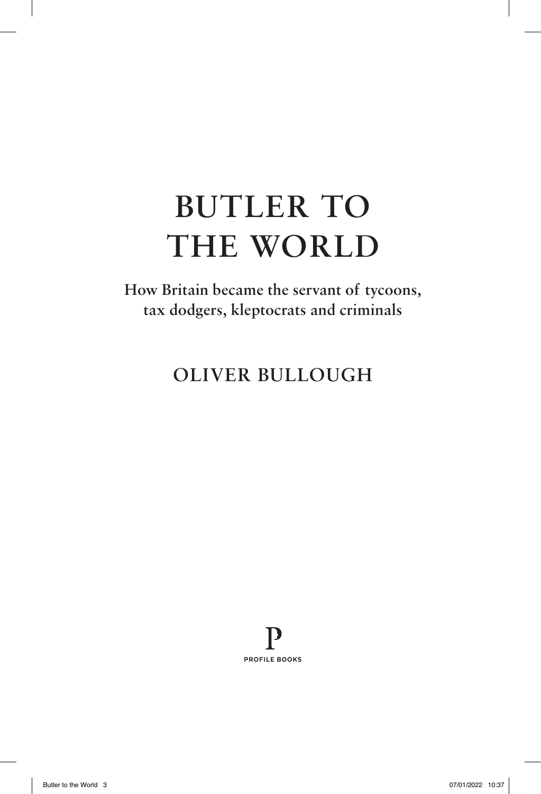# **BUTLER TO the World**

**How Britain became the servant of tycoons, tax dodgers, kleptocrats and criminals**

# **Oliver Bullough**

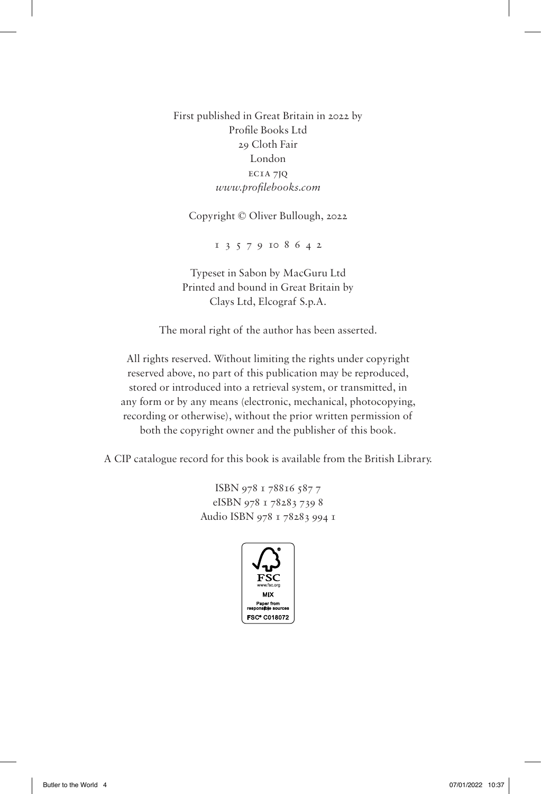First published in Great Britain in 2022 by Profile Books Ltd 29 Cloth Fair London ECIA 7JO *www.profilebooks.com*

Copyright © Oliver Bullough, 2022

1 3 5 7 9 10 8 6 4 2

Typeset in Sabon by MacGuru Ltd Printed and bound in Great Britain by Clays Ltd, Elcograf S.p.A.

The moral right of the author has been asserted.

All rights reserved. Without limiting the rights under copyright reserved above, no part of this publication may be reproduced, stored or introduced into a retrieval system, or transmitted, in any form or by any means (electronic, mechanical, photocopying, recording or otherwise), without the prior written permission of both the copyright owner and the publisher of this book.

A CIP catalogue record for this book is available from the British Library.

ISBN 978 1 78816 587 7 eISBN 978 1 78283 739 8 Audio ISBN 978 1 78283 994 1

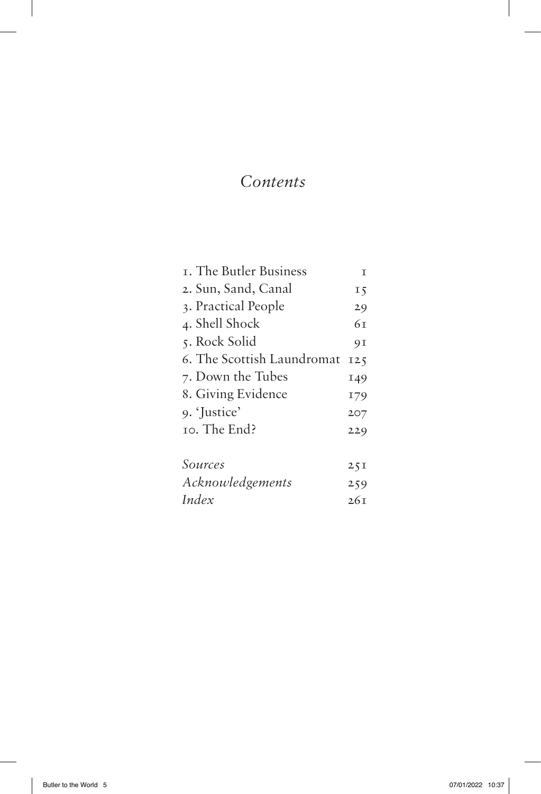## *Contents*

| I. The Butler Business         | T          |
|--------------------------------|------------|
| 2. Sun, Sand, Canal            | $I\bar{5}$ |
| 3. Practical People            | 29         |
| 4. Shell Shock                 | 61         |
| 5. Rock Solid                  | <b>9I</b>  |
| 6. The Scottish Laundromat 125 |            |
| 7. Down the Tubes              | I49        |
| 8. Giving Evidence             | 179        |
| 9. Justice'                    | 207        |
| 10. The End?                   | 229        |
|                                |            |
|                                |            |

| Sources          | 25I |
|------------------|-----|
| Acknowledgements | 259 |
| Index            | 26T |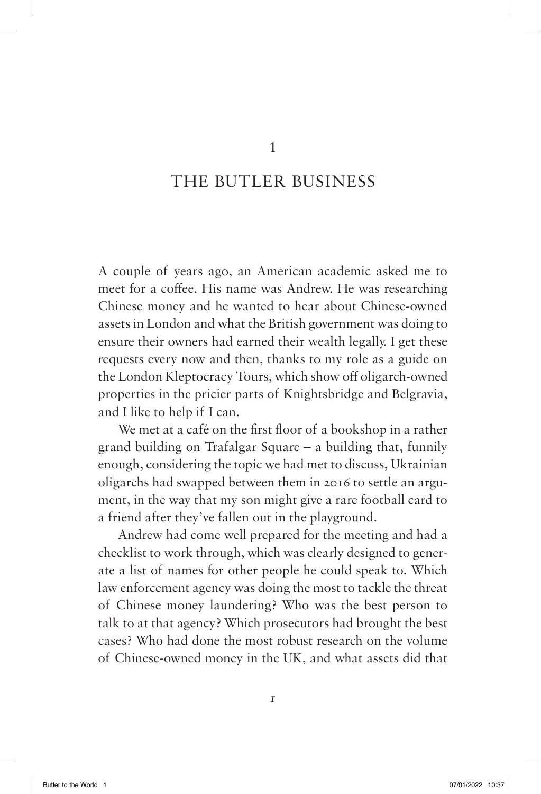1

### THE BUTLER BUSINESS

A couple of years ago, an American academic asked me to meet for a coffee. His name was Andrew. He was researching Chinese money and he wanted to hear about Chinese-owned assets in London and what the British government was doing to ensure their owners had earned their wealth legally. I get these requests every now and then, thanks to my role as a guide on the London Kleptocracy Tours, which show off oligarch-owned properties in the pricier parts of Knightsbridge and Belgravia, and I like to help if I can.

We met at a café on the first floor of a bookshop in a rather grand building on Trafalgar Square – a building that, funnily enough, considering the topic we had met to discuss, Ukrainian oligarchs had swapped between them in 2016 to settle an argument, in the way that my son might give a rare football card to a friend after they've fallen out in the playground.

Andrew had come well prepared for the meeting and had a checklist to work through, which was clearly designed to generate a list of names for other people he could speak to. Which law enforcement agency was doing the most to tackle the threat of Chinese money laundering? Who was the best person to talk to at that agency? Which prosecutors had brought the best cases? Who had done the most robust research on the volume of Chinese-owned money in the UK, and what assets did that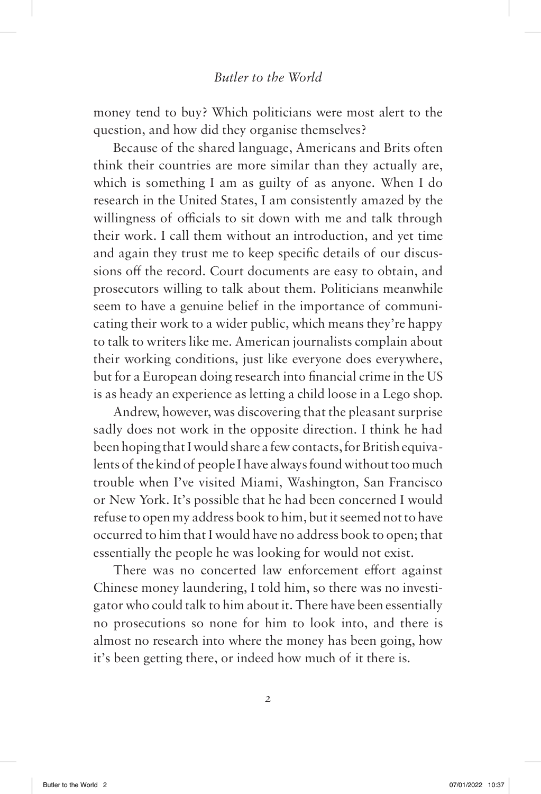money tend to buy? Which politicians were most alert to the question, and how did they organise themselves?

Because of the shared language, Americans and Brits often think their countries are more similar than they actually are, which is something I am as guilty of as anyone. When I do research in the United States, I am consistently amazed by the willingness of officials to sit down with me and talk through their work. I call them without an introduction, and yet time and again they trust me to keep specific details of our discussions off the record. Court documents are easy to obtain, and prosecutors willing to talk about them. Politicians meanwhile seem to have a genuine belief in the importance of communicating their work to a wider public, which means they're happy to talk to writers like me. American journalists complain about their working conditions, just like everyone does everywhere, but for a European doing research into financial crime in the US is as heady an experience as letting a child loose in a Lego shop.

Andrew, however, was discovering that the pleasant surprise sadly does not work in the opposite direction. I think he had been hoping that I would share a few contacts, for British equivalents of the kind of people I have always found without too much trouble when I've visited Miami, Washington, San Francisco or New York. It's possible that he had been concerned I would refuse to open my address book to him, but it seemed not to have occurred to him that I would have no address book to open; that essentially the people he was looking for would not exist.

There was no concerted law enforcement effort against Chinese money laundering, I told him, so there was no investigator who could talk to him about it. There have been essentially no prosecutions so none for him to look into, and there is almost no research into where the money has been going, how it's been getting there, or indeed how much of it there is.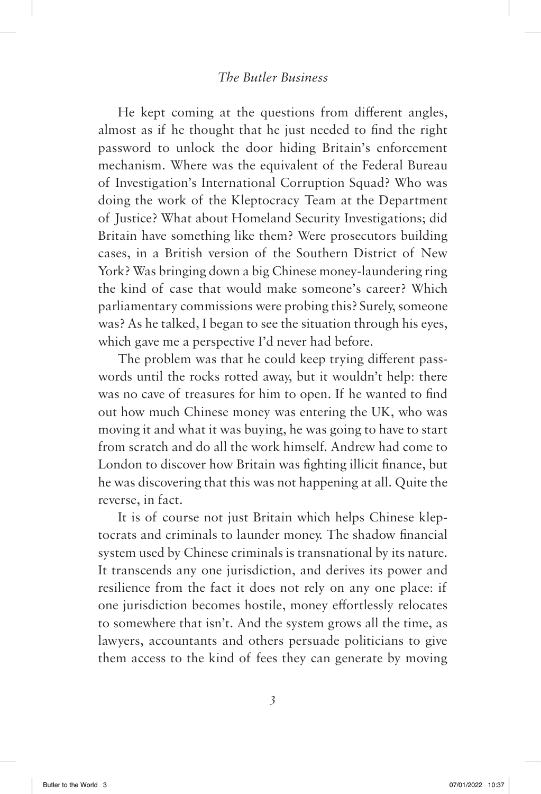He kept coming at the questions from different angles, almost as if he thought that he just needed to find the right password to unlock the door hiding Britain's enforcement mechanism. Where was the equivalent of the Federal Bureau of Investigation's International Corruption Squad? Who was doing the work of the Kleptocracy Team at the Department of Justice? What about Homeland Security Investigations; did Britain have something like them? Were prosecutors building cases, in a British version of the Southern District of New York? Was bringing down a big Chinese money-laundering ring the kind of case that would make someone's career? Which parliamentary commissions were probing this? Surely, someone was? As he talked, I began to see the situation through his eyes, which gave me a perspective I'd never had before.

The problem was that he could keep trying different passwords until the rocks rotted away, but it wouldn't help: there was no cave of treasures for him to open. If he wanted to find out how much Chinese money was entering the UK, who was moving it and what it was buying, he was going to have to start from scratch and do all the work himself. Andrew had come to London to discover how Britain was fighting illicit finance, but he was discovering that this was not happening at all. Quite the reverse, in fact.

It is of course not just Britain which helps Chinese kleptocrats and criminals to launder money. The shadow financial system used by Chinese criminals is transnational by its nature. It transcends any one jurisdiction, and derives its power and resilience from the fact it does not rely on any one place: if one jurisdiction becomes hostile, money effortlessly relocates to somewhere that isn't. And the system grows all the time, as lawyers, accountants and others persuade politicians to give them access to the kind of fees they can generate by moving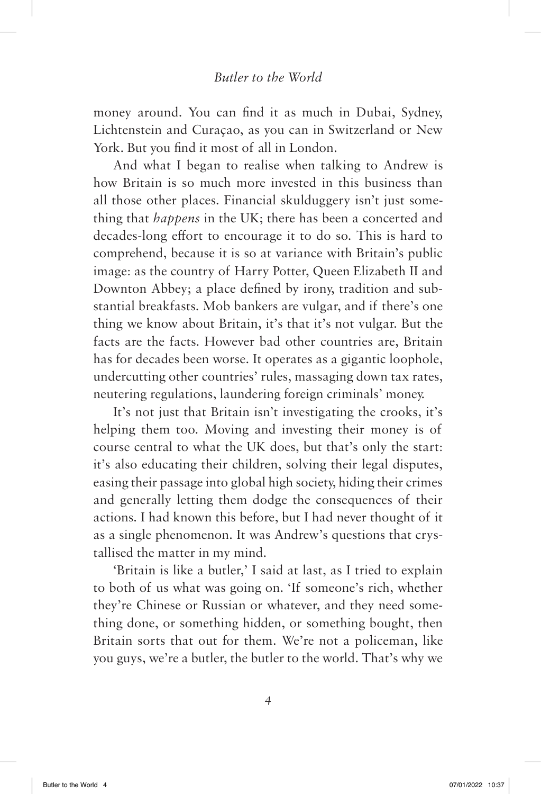money around. You can find it as much in Dubai, Sydney, Lichtenstein and Curaçao, as you can in Switzerland or New York. But you find it most of all in London.

And what I began to realise when talking to Andrew is how Britain is so much more invested in this business than all those other places. Financial skulduggery isn't just something that *happens* in the UK; there has been a concerted and decades-long effort to encourage it to do so. This is hard to comprehend, because it is so at variance with Britain's public image: as the country of Harry Potter, Queen Elizabeth II and Downton Abbey; a place defined by irony, tradition and substantial breakfasts. Mob bankers are vulgar, and if there's one thing we know about Britain, it's that it's not vulgar. But the facts are the facts. However bad other countries are, Britain has for decades been worse. It operates as a gigantic loophole, undercutting other countries' rules, massaging down tax rates, neutering regulations, laundering foreign criminals' money.

It's not just that Britain isn't investigating the crooks, it's helping them too. Moving and investing their money is of course central to what the UK does, but that's only the start: it's also educating their children, solving their legal disputes, easing their passage into global high society, hiding their crimes and generally letting them dodge the consequences of their actions. I had known this before, but I had never thought of it as a single phenomenon. It was Andrew's questions that crystallised the matter in my mind.

'Britain is like a butler,' I said at last, as I tried to explain to both of us what was going on. 'If someone's rich, whether they're Chinese or Russian or whatever, and they need something done, or something hidden, or something bought, then Britain sorts that out for them. We're not a policeman, like you guys, we're a butler, the butler to the world. That's why we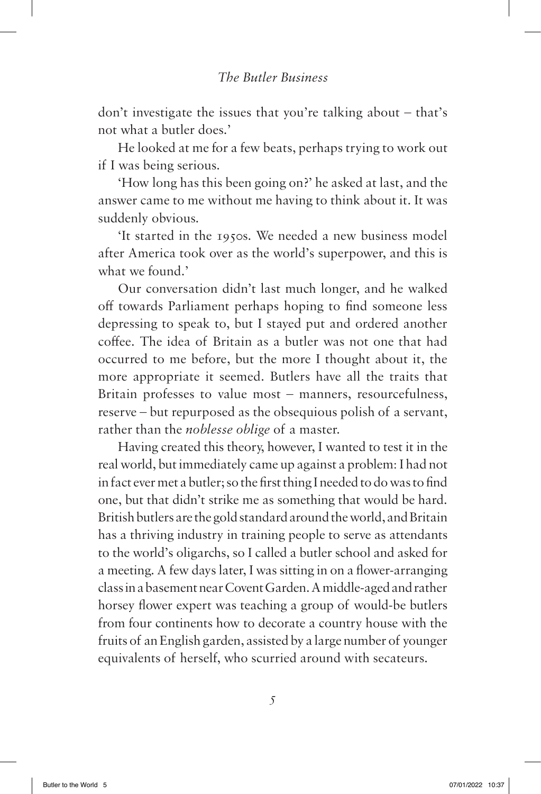don't investigate the issues that you're talking about – that's not what a butler does.'

He looked at me for a few beats, perhaps trying to work out if I was being serious.

'How long has this been going on?' he asked at last, and the answer came to me without me having to think about it. It was suddenly obvious.

'It started in the 1950s. We needed a new business model after America took over as the world's superpower, and this is what we found.'

Our conversation didn't last much longer, and he walked off towards Parliament perhaps hoping to find someone less depressing to speak to, but I stayed put and ordered another coffee. The idea of Britain as a butler was not one that had occurred to me before, but the more I thought about it, the more appropriate it seemed. Butlers have all the traits that Britain professes to value most – manners, resourcefulness, reserve – but repurposed as the obsequious polish of a servant, rather than the *noblesse oblige* of a master.

Having created this theory, however, I wanted to test it in the real world, but immediately came up against a problem: I had not in fact ever met a butler; so the first thing I needed to do was to find one, but that didn't strike me as something that would be hard. British butlers are the gold standard around the world, and Britain has a thriving industry in training people to serve as attendants to the world's oligarchs, so I called a butler school and asked for a meeting. A few days later, I was sitting in on a flower-arranging class in a basement near Covent Garden. A middle-aged and rather horsey flower expert was teaching a group of would-be butlers from four continents how to decorate a country house with the fruits of an English garden, assisted by a large number of younger equivalents of herself, who scurried around with secateurs.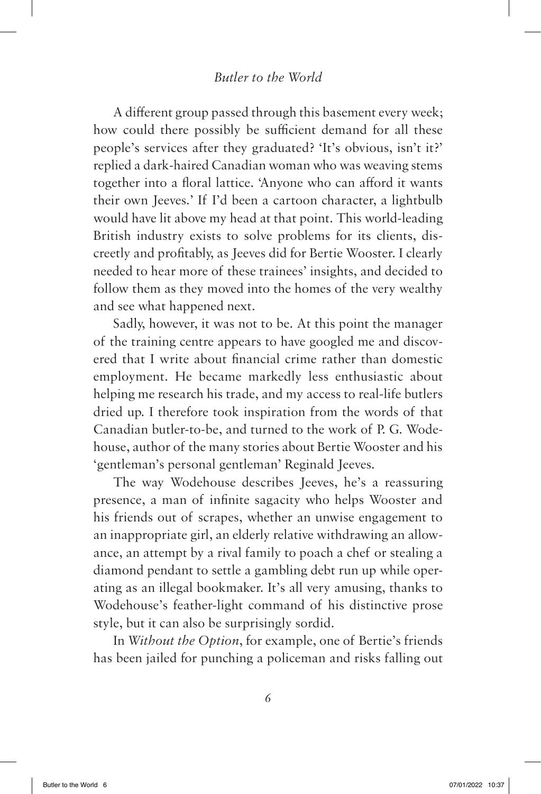#### *Butler to the World*

A different group passed through this basement every week; how could there possibly be sufficient demand for all these people's services after they graduated? 'It's obvious, isn't it?' replied a dark-haired Canadian woman who was weaving stems together into a floral lattice. 'Anyone who can afford it wants their own Jeeves.' If I'd been a cartoon character, a lightbulb would have lit above my head at that point. This world-leading British industry exists to solve problems for its clients, discreetly and profitably, as Jeeves did for Bertie Wooster. I clearly needed to hear more of these trainees' insights, and decided to follow them as they moved into the homes of the very wealthy and see what happened next.

Sadly, however, it was not to be. At this point the manager of the training centre appears to have googled me and discovered that I write about financial crime rather than domestic employment. He became markedly less enthusiastic about helping me research his trade, and my access to real-life butlers dried up. I therefore took inspiration from the words of that Canadian butler-to-be, and turned to the work of P. G. Wodehouse, author of the many stories about Bertie Wooster and his 'gentleman's personal gentleman' Reginald Jeeves.

The way Wodehouse describes Jeeves, he's a reassuring presence, a man of infinite sagacity who helps Wooster and his friends out of scrapes, whether an unwise engagement to an inappropriate girl, an elderly relative withdrawing an allowance, an attempt by a rival family to poach a chef or stealing a diamond pendant to settle a gambling debt run up while operating as an illegal bookmaker. It's all very amusing, thanks to Wodehouse's feather-light command of his distinctive prose style, but it can also be surprisingly sordid.

In *Without the Option*, for example, one of Bertie's friends has been jailed for punching a policeman and risks falling out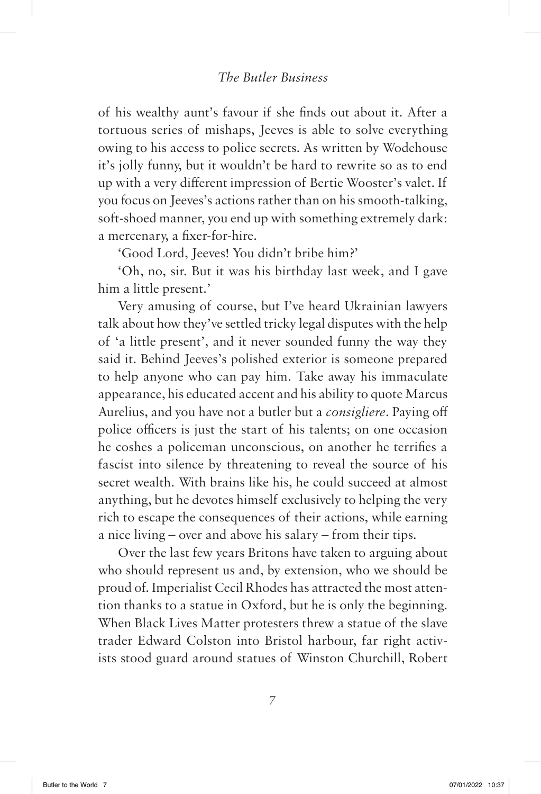of his wealthy aunt's favour if she finds out about it. After a tortuous series of mishaps, Jeeves is able to solve everything owing to his access to police secrets. As written by Wodehouse it's jolly funny, but it wouldn't be hard to rewrite so as to end up with a very different impression of Bertie Wooster's valet. If you focus on Jeeves's actions rather than on his smooth-talking, soft-shoed manner, you end up with something extremely dark: a mercenary, a fixer-for-hire.

'Good Lord, Jeeves! You didn't bribe him?'

'Oh, no, sir. But it was his birthday last week, and I gave him a little present.'

Very amusing of course, but I've heard Ukrainian lawyers talk about how they've settled tricky legal disputes with the help of 'a little present', and it never sounded funny the way they said it. Behind Jeeves's polished exterior is someone prepared to help anyone who can pay him. Take away his immaculate appearance, his educated accent and his ability to quote Marcus Aurelius, and you have not a butler but a *consigliere*. Paying off police officers is just the start of his talents; on one occasion he coshes a policeman unconscious, on another he terrifies a fascist into silence by threatening to reveal the source of his secret wealth. With brains like his, he could succeed at almost anything, but he devotes himself exclusively to helping the very rich to escape the consequences of their actions, while earning a nice living – over and above his salary – from their tips.

Over the last few years Britons have taken to arguing about who should represent us and, by extension, who we should be proud of. Imperialist Cecil Rhodes has attracted the most attention thanks to a statue in Oxford, but he is only the beginning. When Black Lives Matter protesters threw a statue of the slave trader Edward Colston into Bristol harbour, far right activists stood guard around statues of Winston Churchill, Robert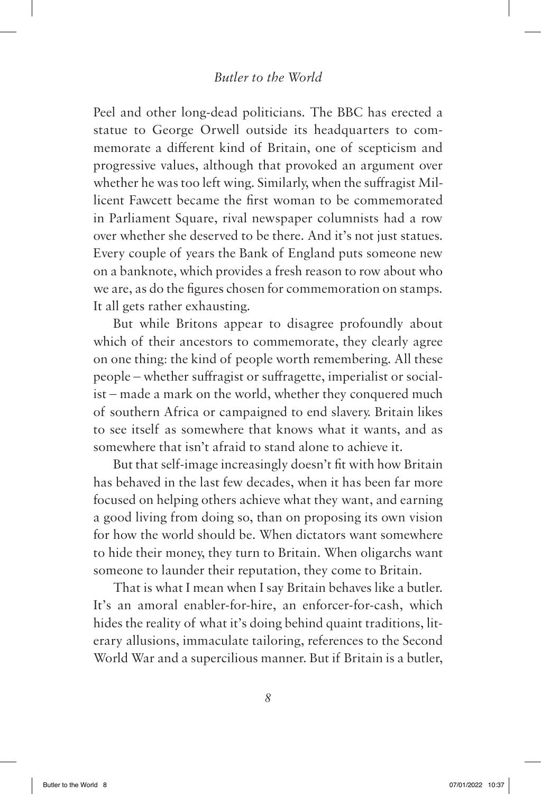#### *Butler to the World*

Peel and other long-dead politicians. The BBC has erected a statue to George Orwell outside its headquarters to commemorate a different kind of Britain, one of scepticism and progressive values, although that provoked an argument over whether he was too left wing. Similarly, when the suffragist Millicent Fawcett became the first woman to be commemorated in Parliament Square, rival newspaper columnists had a row over whether she deserved to be there. And it's not just statues. Every couple of years the Bank of England puts someone new on a banknote, which provides a fresh reason to row about who we are, as do the figures chosen for commemoration on stamps. It all gets rather exhausting.

But while Britons appear to disagree profoundly about which of their ancestors to commemorate, they clearly agree on one thing: the kind of people worth remembering. All these people – whether suffragist or suffragette, imperialist or socialist – made a mark on the world, whether they conquered much of southern Africa or campaigned to end slavery. Britain likes to see itself as somewhere that knows what it wants, and as somewhere that isn't afraid to stand alone to achieve it.

But that self-image increasingly doesn't fit with how Britain has behaved in the last few decades, when it has been far more focused on helping others achieve what they want, and earning a good living from doing so, than on proposing its own vision for how the world should be. When dictators want somewhere to hide their money, they turn to Britain. When oligarchs want someone to launder their reputation, they come to Britain.

That is what I mean when I say Britain behaves like a butler. It's an amoral enabler-for-hire, an enforcer-for-cash, which hides the reality of what it's doing behind quaint traditions, literary allusions, immaculate tailoring, references to the Second World War and a supercilious manner. But if Britain is a butler,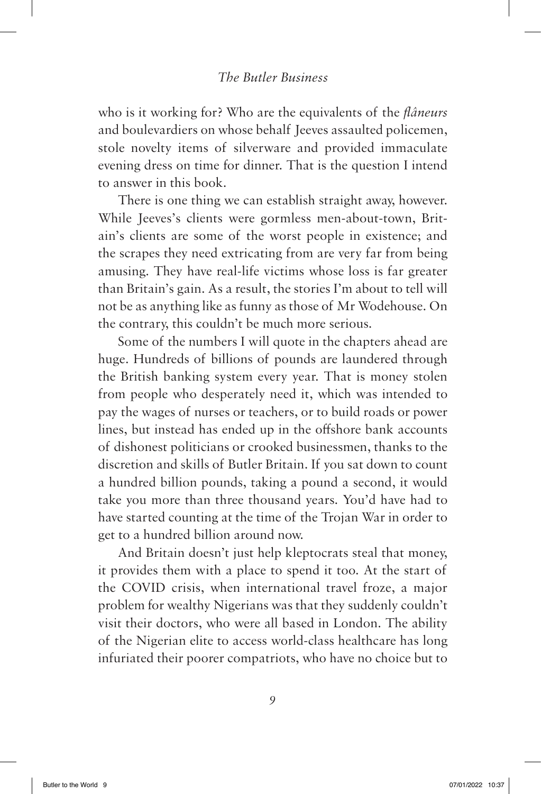who is it working for? Who are the equivalents of the *flâneurs* and boulevardiers on whose behalf Jeeves assaulted policemen, stole novelty items of silverware and provided immaculate evening dress on time for dinner. That is the question I intend to answer in this book.

There is one thing we can establish straight away, however. While Jeeves's clients were gormless men-about-town, Britain's clients are some of the worst people in existence; and the scrapes they need extricating from are very far from being amusing. They have real-life victims whose loss is far greater than Britain's gain. As a result, the stories I'm about to tell will not be as anything like as funny as those of Mr Wodehouse. On the contrary, this couldn't be much more serious.

Some of the numbers I will quote in the chapters ahead are huge. Hundreds of billions of pounds are laundered through the British banking system every year. That is money stolen from people who desperately need it, which was intended to pay the wages of nurses or teachers, or to build roads or power lines, but instead has ended up in the offshore bank accounts of dishonest politicians or crooked businessmen, thanks to the discretion and skills of Butler Britain. If you sat down to count a hundred billion pounds, taking a pound a second, it would take you more than three thousand years. You'd have had to have started counting at the time of the Trojan War in order to get to a hundred billion around now.

And Britain doesn't just help kleptocrats steal that money, it provides them with a place to spend it too. At the start of the COVID crisis, when international travel froze, a major problem for wealthy Nigerians was that they suddenly couldn't visit their doctors, who were all based in London. The ability of the Nigerian elite to access world-class healthcare has long infuriated their poorer compatriots, who have no choice but to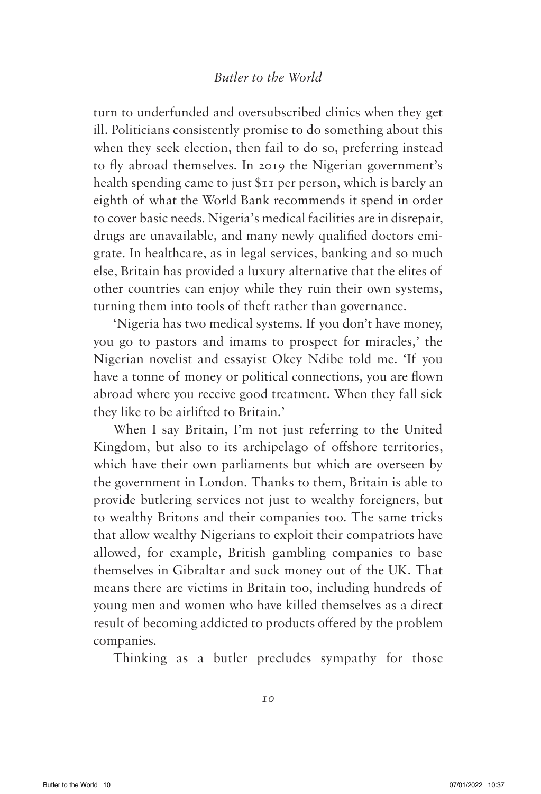#### *Butler to the World*

turn to underfunded and oversubscribed clinics when they get ill. Politicians consistently promise to do something about this when they seek election, then fail to do so, preferring instead to fly abroad themselves. In 2019 the Nigerian government's health spending came to just \$11 per person, which is barely an eighth of what the World Bank recommends it spend in order to cover basic needs. Nigeria's medical facilities are in disrepair, drugs are unavailable, and many newly qualified doctors emigrate. In healthcare, as in legal services, banking and so much else, Britain has provided a luxury alternative that the elites of other countries can enjoy while they ruin their own systems, turning them into tools of theft rather than governance.

'Nigeria has two medical systems. If you don't have money, you go to pastors and imams to prospect for miracles,' the Nigerian novelist and essayist Okey Ndibe told me. 'If you have a tonne of money or political connections, you are flown abroad where you receive good treatment. When they fall sick they like to be airlifted to Britain.'

When I say Britain, I'm not just referring to the United Kingdom, but also to its archipelago of offshore territories, which have their own parliaments but which are overseen by the government in London. Thanks to them, Britain is able to provide butlering services not just to wealthy foreigners, but to wealthy Britons and their companies too. The same tricks that allow wealthy Nigerians to exploit their compatriots have allowed, for example, British gambling companies to base themselves in Gibraltar and suck money out of the UK. That means there are victims in Britain too, including hundreds of young men and women who have killed themselves as a direct result of becoming addicted to products offered by the problem companies.

Thinking as a butler precludes sympathy for those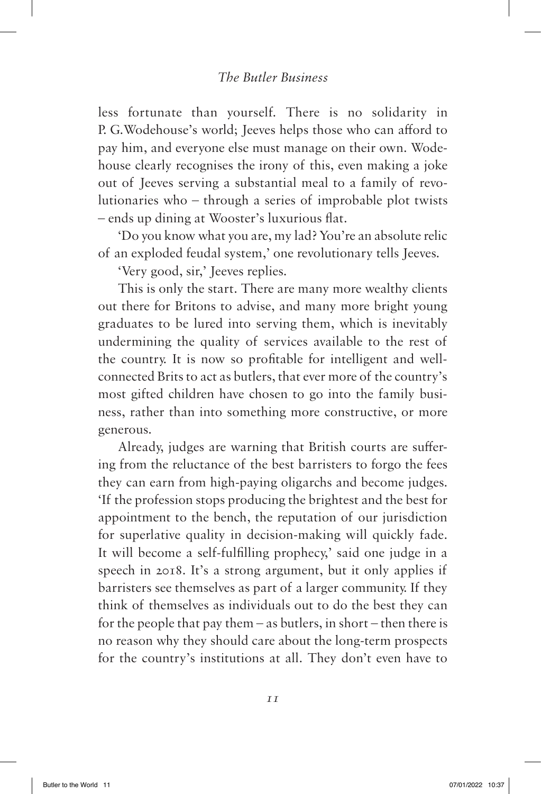less fortunate than yourself. There is no solidarity in P. G.Wodehouse's world; Jeeves helps those who can afford to pay him, and everyone else must manage on their own. Wodehouse clearly recognises the irony of this, even making a joke out of Jeeves serving a substantial meal to a family of revolutionaries who – through a series of improbable plot twists – ends up dining at Wooster's luxurious flat.

'Do you know what you are, my lad? You're an absolute relic of an exploded feudal system,' one revolutionary tells Jeeves.

'Very good, sir,' Jeeves replies.

This is only the start. There are many more wealthy clients out there for Britons to advise, and many more bright young graduates to be lured into serving them, which is inevitably undermining the quality of services available to the rest of the country. It is now so profitable for intelligent and wellconnected Brits to act as butlers, that ever more of the country's most gifted children have chosen to go into the family business, rather than into something more constructive, or more generous.

Already, judges are warning that British courts are suffering from the reluctance of the best barristers to forgo the fees they can earn from high-paying oligarchs and become judges. 'If the profession stops producing the brightest and the best for appointment to the bench, the reputation of our jurisdiction for superlative quality in decision-making will quickly fade. It will become a self-fulfilling prophecy,' said one judge in a speech in 2018. It's a strong argument, but it only applies if barristers see themselves as part of a larger community. If they think of themselves as individuals out to do the best they can for the people that pay them – as butlers, in short – then there is no reason why they should care about the long-term prospects for the country's institutions at all. They don't even have to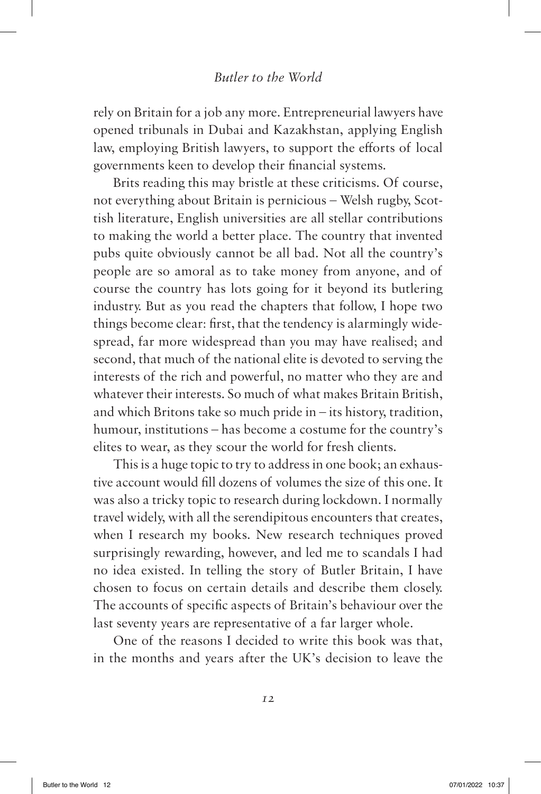rely on Britain for a job any more. Entrepreneurial lawyers have opened tribunals in Dubai and Kazakhstan, applying English law, employing British lawyers, to support the efforts of local governments keen to develop their financial systems.

Brits reading this may bristle at these criticisms. Of course, not everything about Britain is pernicious – Welsh rugby, Scottish literature, English universities are all stellar contributions to making the world a better place. The country that invented pubs quite obviously cannot be all bad. Not all the country's people are so amoral as to take money from anyone, and of course the country has lots going for it beyond its butlering industry. But as you read the chapters that follow, I hope two things become clear: first, that the tendency is alarmingly widespread, far more widespread than you may have realised; and second, that much of the national elite is devoted to serving the interests of the rich and powerful, no matter who they are and whatever their interests. So much of what makes Britain British, and which Britons take so much pride in – its history, tradition, humour, institutions – has become a costume for the country's elites to wear, as they scour the world for fresh clients.

This is a huge topic to try to address in one book; an exhaustive account would fill dozens of volumes the size of this one. It was also a tricky topic to research during lockdown. I normally travel widely, with all the serendipitous encounters that creates, when I research my books. New research techniques proved surprisingly rewarding, however, and led me to scandals I had no idea existed. In telling the story of Butler Britain, I have chosen to focus on certain details and describe them closely. The accounts of specific aspects of Britain's behaviour over the last seventy years are representative of a far larger whole.

One of the reasons I decided to write this book was that, in the months and years after the UK's decision to leave the